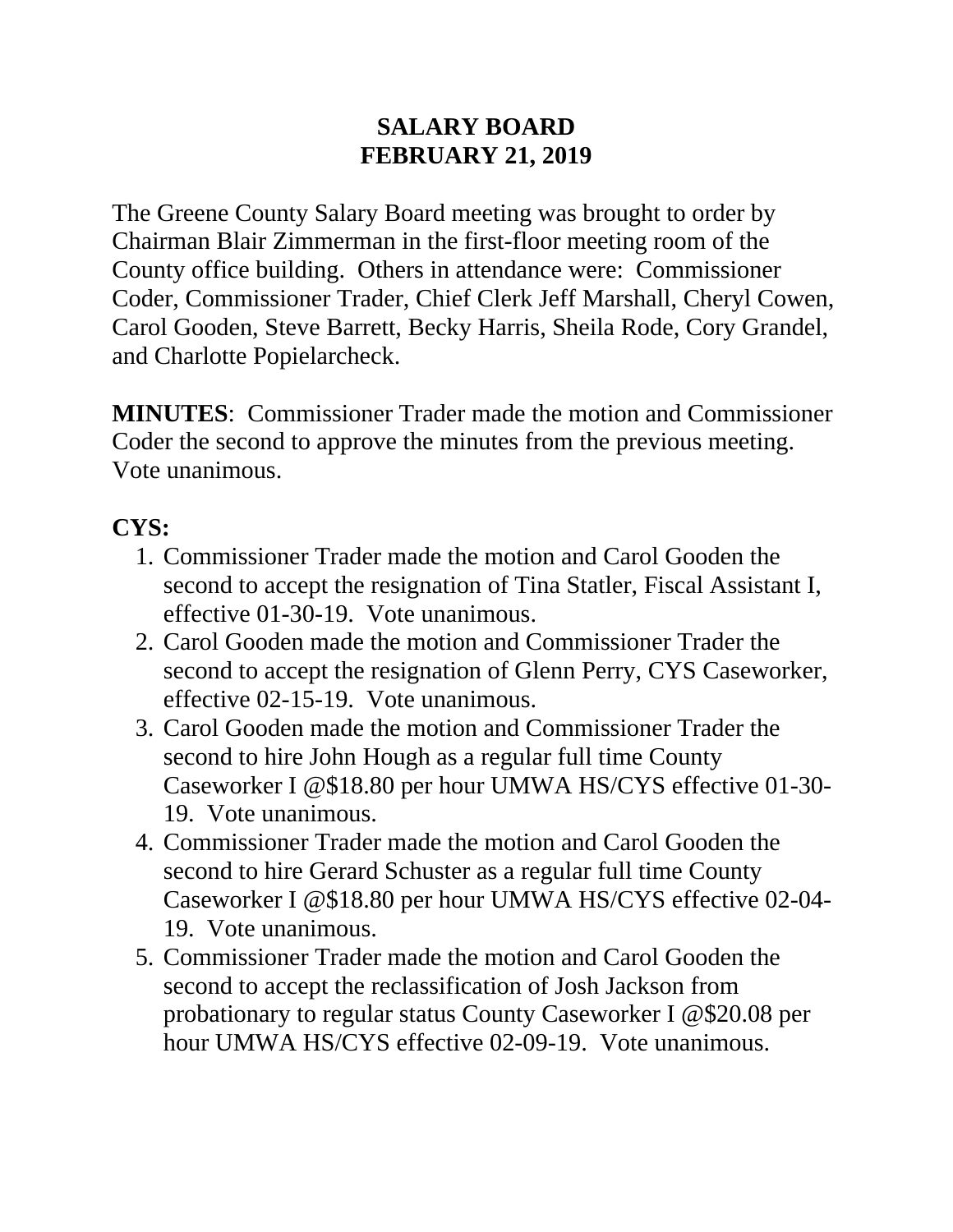#### **SALARY BOARD FEBRUARY 21, 2019**

The Greene County Salary Board meeting was brought to order by Chairman Blair Zimmerman in the first-floor meeting room of the County office building. Others in attendance were: Commissioner Coder, Commissioner Trader, Chief Clerk Jeff Marshall, Cheryl Cowen, Carol Gooden, Steve Barrett, Becky Harris, Sheila Rode, Cory Grandel, and Charlotte Popielarcheck.

**MINUTES**: Commissioner Trader made the motion and Commissioner Coder the second to approve the minutes from the previous meeting. Vote unanimous.

# **CYS:**

- 1. Commissioner Trader made the motion and Carol Gooden the second to accept the resignation of Tina Statler, Fiscal Assistant I, effective 01-30-19. Vote unanimous.
- 2. Carol Gooden made the motion and Commissioner Trader the second to accept the resignation of Glenn Perry, CYS Caseworker, effective 02-15-19. Vote unanimous.
- 3. Carol Gooden made the motion and Commissioner Trader the second to hire John Hough as a regular full time County Caseworker I @\$18.80 per hour UMWA HS/CYS effective 01-30- 19. Vote unanimous.
- 4. Commissioner Trader made the motion and Carol Gooden the second to hire Gerard Schuster as a regular full time County Caseworker I @\$18.80 per hour UMWA HS/CYS effective 02-04- 19. Vote unanimous.
- 5. Commissioner Trader made the motion and Carol Gooden the second to accept the reclassification of Josh Jackson from probationary to regular status County Caseworker I @\$20.08 per hour UMWA HS/CYS effective 02-09-19. Vote unanimous.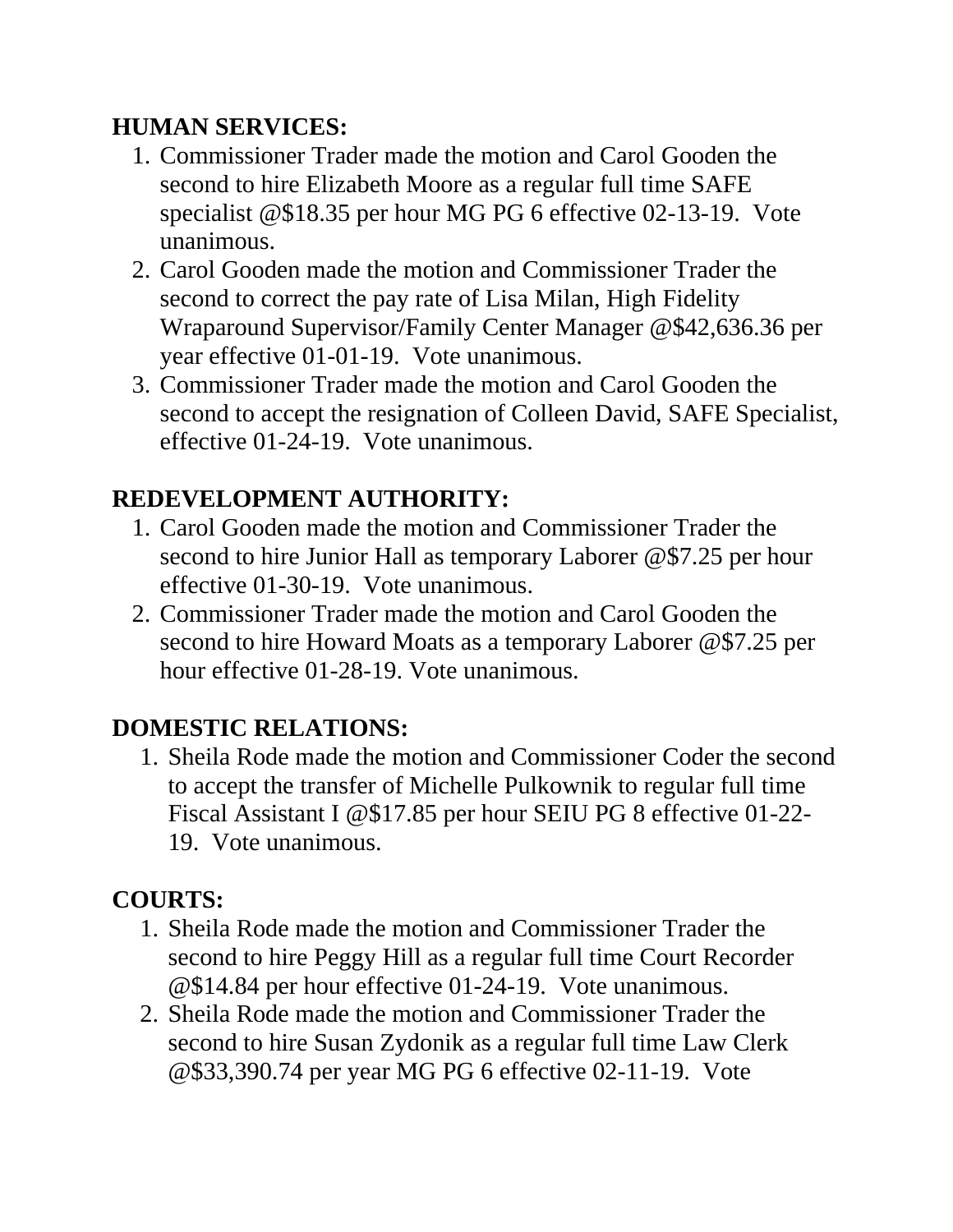# **HUMAN SERVICES:**

- 1. Commissioner Trader made the motion and Carol Gooden the second to hire Elizabeth Moore as a regular full time SAFE specialist @\$18.35 per hour MG PG 6 effective 02-13-19. Vote unanimous.
- 2. Carol Gooden made the motion and Commissioner Trader the second to correct the pay rate of Lisa Milan, High Fidelity Wraparound Supervisor/Family Center Manager @\$42,636.36 per year effective 01-01-19. Vote unanimous.
- 3. Commissioner Trader made the motion and Carol Gooden the second to accept the resignation of Colleen David, SAFE Specialist, effective 01-24-19. Vote unanimous.

# **REDEVELOPMENT AUTHORITY:**

- 1. Carol Gooden made the motion and Commissioner Trader the second to hire Junior Hall as temporary Laborer @\$7.25 per hour effective 01-30-19. Vote unanimous.
- 2. Commissioner Trader made the motion and Carol Gooden the second to hire Howard Moats as a temporary Laborer @\$7.25 per hour effective 01-28-19. Vote unanimous.

# **DOMESTIC RELATIONS:**

1. Sheila Rode made the motion and Commissioner Coder the second to accept the transfer of Michelle Pulkownik to regular full time Fiscal Assistant I @\$17.85 per hour SEIU PG 8 effective 01-22- 19. Vote unanimous.

# **COURTS:**

- 1. Sheila Rode made the motion and Commissioner Trader the second to hire Peggy Hill as a regular full time Court Recorder @\$14.84 per hour effective 01-24-19. Vote unanimous.
- 2. Sheila Rode made the motion and Commissioner Trader the second to hire Susan Zydonik as a regular full time Law Clerk @\$33,390.74 per year MG PG 6 effective 02-11-19. Vote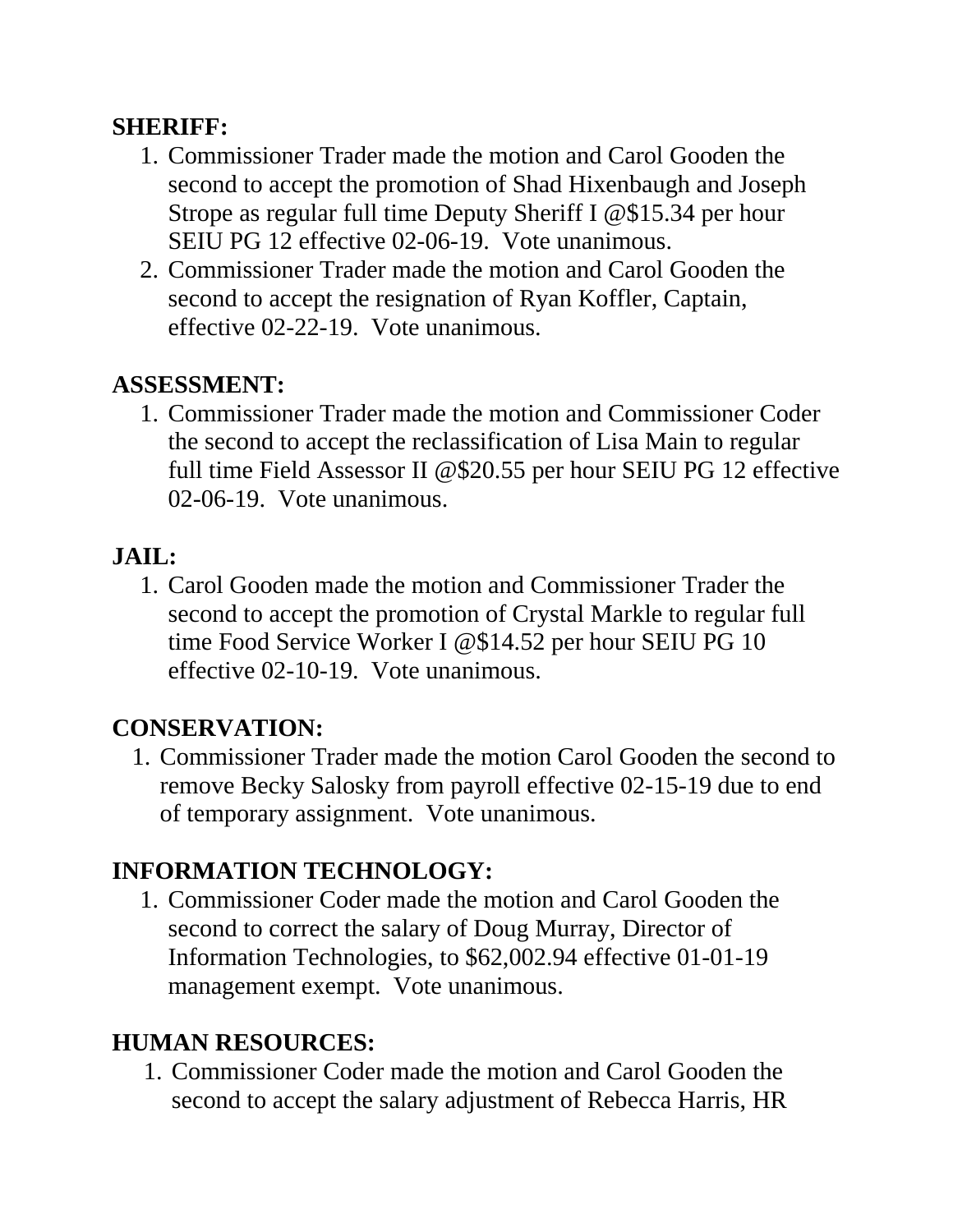#### **SHERIFF:**

- 1. Commissioner Trader made the motion and Carol Gooden the second to accept the promotion of Shad Hixenbaugh and Joseph Strope as regular full time Deputy Sheriff I @\$15.34 per hour SEIU PG 12 effective 02-06-19. Vote unanimous.
- 2. Commissioner Trader made the motion and Carol Gooden the second to accept the resignation of Ryan Koffler, Captain, effective 02-22-19. Vote unanimous.

### **ASSESSMENT:**

1. Commissioner Trader made the motion and Commissioner Coder the second to accept the reclassification of Lisa Main to regular full time Field Assessor II @\$20.55 per hour SEIU PG 12 effective 02-06-19. Vote unanimous.

# **JAIL:**

1. Carol Gooden made the motion and Commissioner Trader the second to accept the promotion of Crystal Markle to regular full time Food Service Worker I @\$14.52 per hour SEIU PG 10 effective 02-10-19. Vote unanimous.

# **CONSERVATION:**

1. Commissioner Trader made the motion Carol Gooden the second to remove Becky Salosky from payroll effective 02-15-19 due to end of temporary assignment. Vote unanimous.

# **INFORMATION TECHNOLOGY:**

1. Commissioner Coder made the motion and Carol Gooden the second to correct the salary of Doug Murray, Director of Information Technologies, to \$62,002.94 effective 01-01-19 management exempt. Vote unanimous.

# **HUMAN RESOURCES:**

1. Commissioner Coder made the motion and Carol Gooden the second to accept the salary adjustment of Rebecca Harris, HR